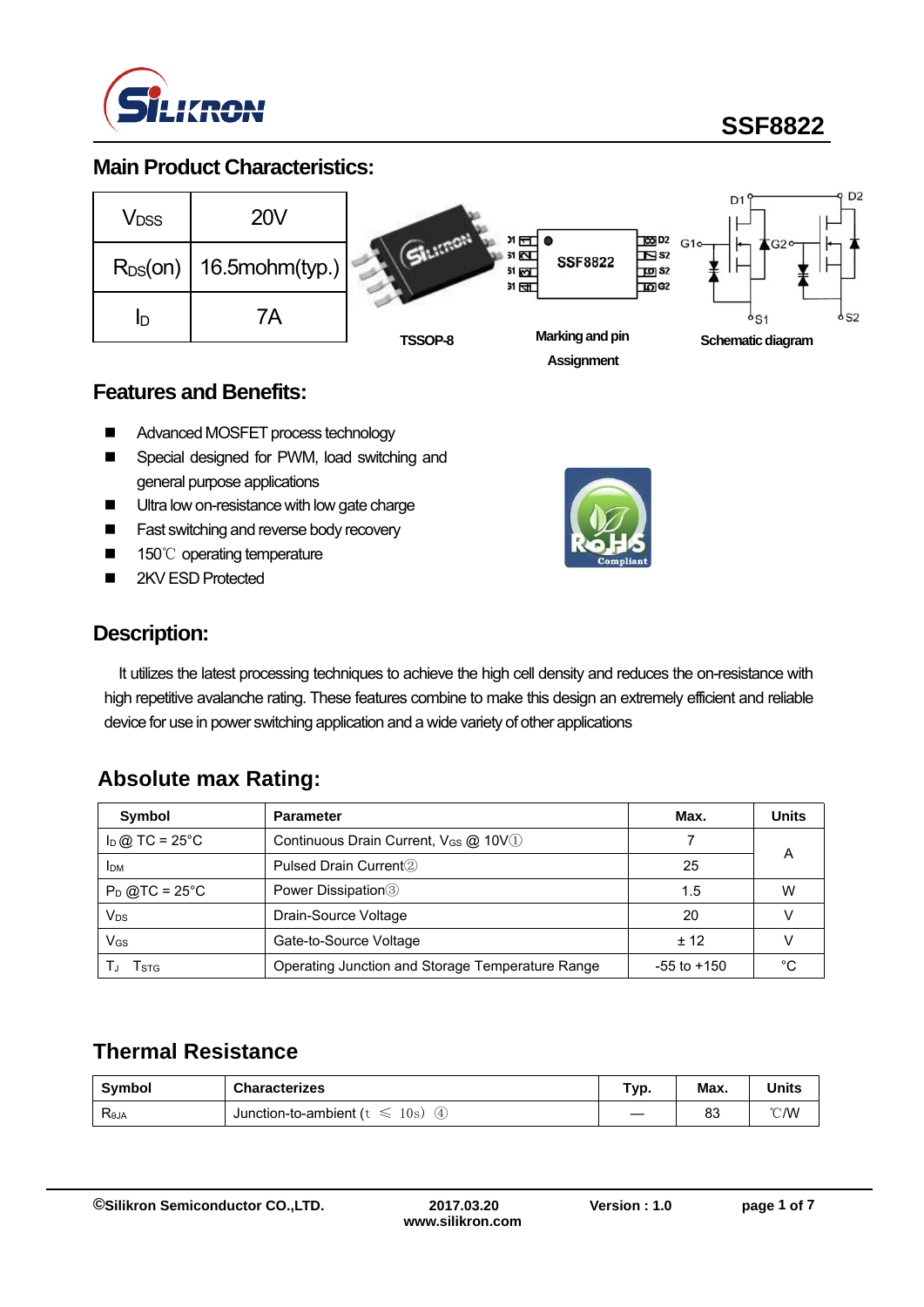

# **SSF8822**

### **Main Product Characteristics:**



#### **Features and Benefits:**

- Advanced MOSFET process technology
- Special designed for PWM, load switching and general purpose applications
- **Ultra low on-resistance with low gate charge**
- **Fast switching and reverse body recovery**
- 150℃ operating temperature
- 2KV ESD Protected



#### **Description:**

It utilizes the latest processing techniques to achieve the high cell density and reduces the on-resistance with high repetitive avalanche rating. These features combine to make this design an extremely efficient and reliable device for use in power switching application and a wide variety of other applications

### **Absolute max Rating:**

| <b>Symbol</b>              | <b>Parameter</b>                                             | Max.            | <b>Units</b> |
|----------------------------|--------------------------------------------------------------|-----------------|--------------|
| $I_D$ @ TC = 25°C          | Continuous Drain Current, V <sub>GS</sub> @ 10V <sup>1</sup> |                 |              |
| <b>IDM</b>                 | Pulsed Drain Current <sup>2</sup>                            | А<br>25         |              |
| $P_D$ @TC = 25°C           | Power Dissipation <sup>3</sup>                               | 1.5             | w            |
| $\mathsf{V}_{\mathsf{DS}}$ | Drain-Source Voltage                                         | 20              |              |
| $V_{GS}$                   | Gate-to-Source Voltage                                       | $+12$           |              |
| l stg                      | Operating Junction and Storage Temperature Range             | $-55$ to $+150$ | ∘∩           |

### **Thermal Resistance**

| <b>Symbol</b>                     | <b>Characterizes</b>                          | Typ. | Max. | <b>Units</b> |
|-----------------------------------|-----------------------------------------------|------|------|--------------|
| $\mathsf{R}_{\theta \mathsf{JA}}$ | 10s<br>Junction-to-ambient (<br>.4,<br>$\sim$ |      | 83   | °C/W         |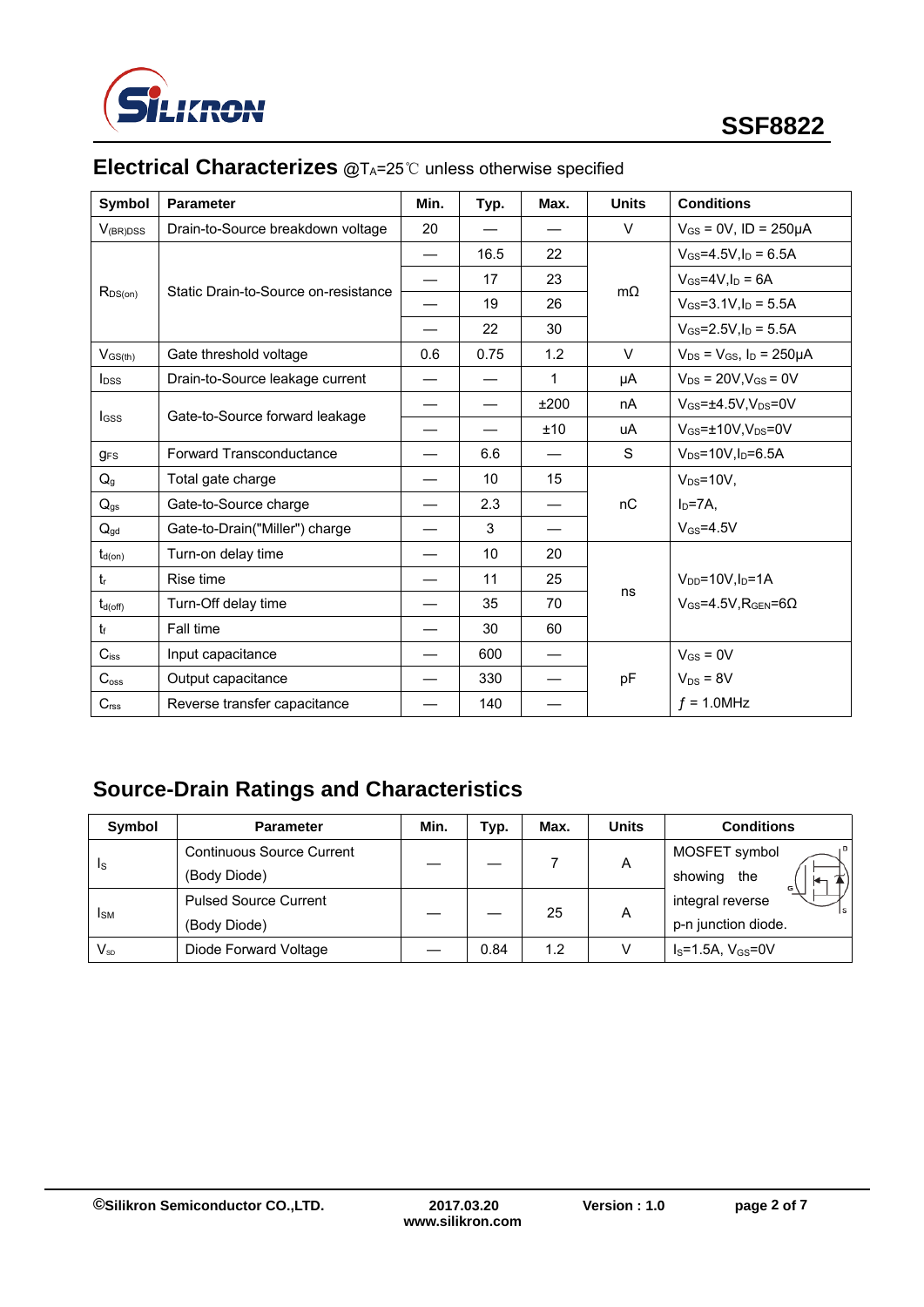

| Symbol                                         | <b>Parameter</b>                     | Min. | Typ. | Max. | <b>Units</b> | <b>Conditions</b>                        |
|------------------------------------------------|--------------------------------------|------|------|------|--------------|------------------------------------------|
| $V_{(BR)DSS}$                                  | Drain-to-Source breakdown voltage    |      |      |      | $\vee$       | $V_{GS} = 0V$ , ID = 250µA               |
|                                                | Static Drain-to-Source on-resistance |      | 16.5 | 22   | $m\Omega$    | $V_{GS} = 4.5V, I_D = 6.5A$              |
|                                                |                                      |      | 17   | 23   |              | $V_{GS}$ =4V, $I_D$ = 6A                 |
| $R_{DS(on)}$                                   |                                      |      | 19   | 26   |              | $V_{GS} = 3.1 V, I_D = 5.5 A$            |
|                                                |                                      |      | 22   | 30   |              | $V_{GS} = 2.5 V, I_D = 5.5 A$            |
| $V_{GS(th)}$                                   | Gate threshold voltage               | 0.6  | 0.75 | 1.2  | $\vee$       | $V_{DS} = V_{GS}$ , $I_D = 250 \mu A$    |
| $I_{DSS}$                                      | Drain-to-Source leakage current      |      |      | 1    | μA           | $V_{DS}$ = 20V, $V_{GS}$ = 0V            |
| Gate-to-Source forward leakage<br><b>I</b> GSS |                                      |      |      | ±200 | nA           | $V_{GS} = \pm 4.5V, V_{DS} = 0V$         |
|                                                |                                      |      |      | ±10  | uA           | $V_{GS}$ = $\pm$ 10V.V <sub>DS</sub> =0V |
| <b>gFS</b>                                     | Forward Transconductance             |      | 6.6  |      | S            | $V_{DS} = 10V$ , $I_D = 6.5A$            |
| Q <sub>g</sub>                                 | Total gate charge                    |      | 10   | 15   |              | $V_{DS} = 10V$ ,                         |
| $Q_{gs}$                                       | Gate-to-Source charge                |      | 2.3  |      | nC           | $I_D = 7A$ ,                             |
| $Q_{gd}$                                       | Gate-to-Drain("Miller") charge       |      | 3    |      |              | $V$ <sub>GS</sub> =4.5V                  |
| $t_{d(on)}$                                    | Turn-on delay time                   |      | 10   | 20   |              |                                          |
| $t_{r}$                                        | Rise time                            |      | 11   | 25   |              | $V_{DD} = 10V, I_D = 1A$                 |
| $t_{d(\text{off})}$                            | Turn-Off delay time                  |      | 35   | 70   | ns           | $V_{GS} = 4.5V$ . RGEN=60                |
| $t_{\rm f}$                                    | Fall time                            |      | 30   | 60   |              |                                          |
| $C_{iss}$                                      | Input capacitance                    |      | 600  |      |              | $V_{GS} = 0V$                            |
| C <sub>oss</sub>                               | Output capacitance                   |      | 330  |      | pF           | $V_{DS} = 8V$                            |
| C <sub>rss</sub>                               | Reverse transfer capacitance         |      | 140  |      |              | $f = 1.0$ MHz                            |

# **Electrical Characterizes** @T<sub>A</sub>=25℃ unless otherwise specified

# **Source-Drain Ratings and Characteristics**

| <b>Symbol</b>              | <b>Parameter</b>                 | Min. | Typ. | Max. | <b>Units</b> | <b>Conditions</b>   |
|----------------------------|----------------------------------|------|------|------|--------------|---------------------|
| <b>Is</b>                  | <b>Continuous Source Current</b> |      |      |      | A            | MOSFET symbol       |
|                            | (Body Diode)                     |      |      |      |              | showing<br>the      |
| <b>I</b> SM                | <b>Pulsed Source Current</b>     |      |      | 25   | A            | integral reverse    |
|                            | (Body Diode)                     |      |      |      |              | p-n junction diode. |
| $\mathsf{V}_{\mathsf{SD}}$ | Diode Forward Voltage            |      | 0.84 | 1.2  | V            | $IS=1.5A, VGS=0V$   |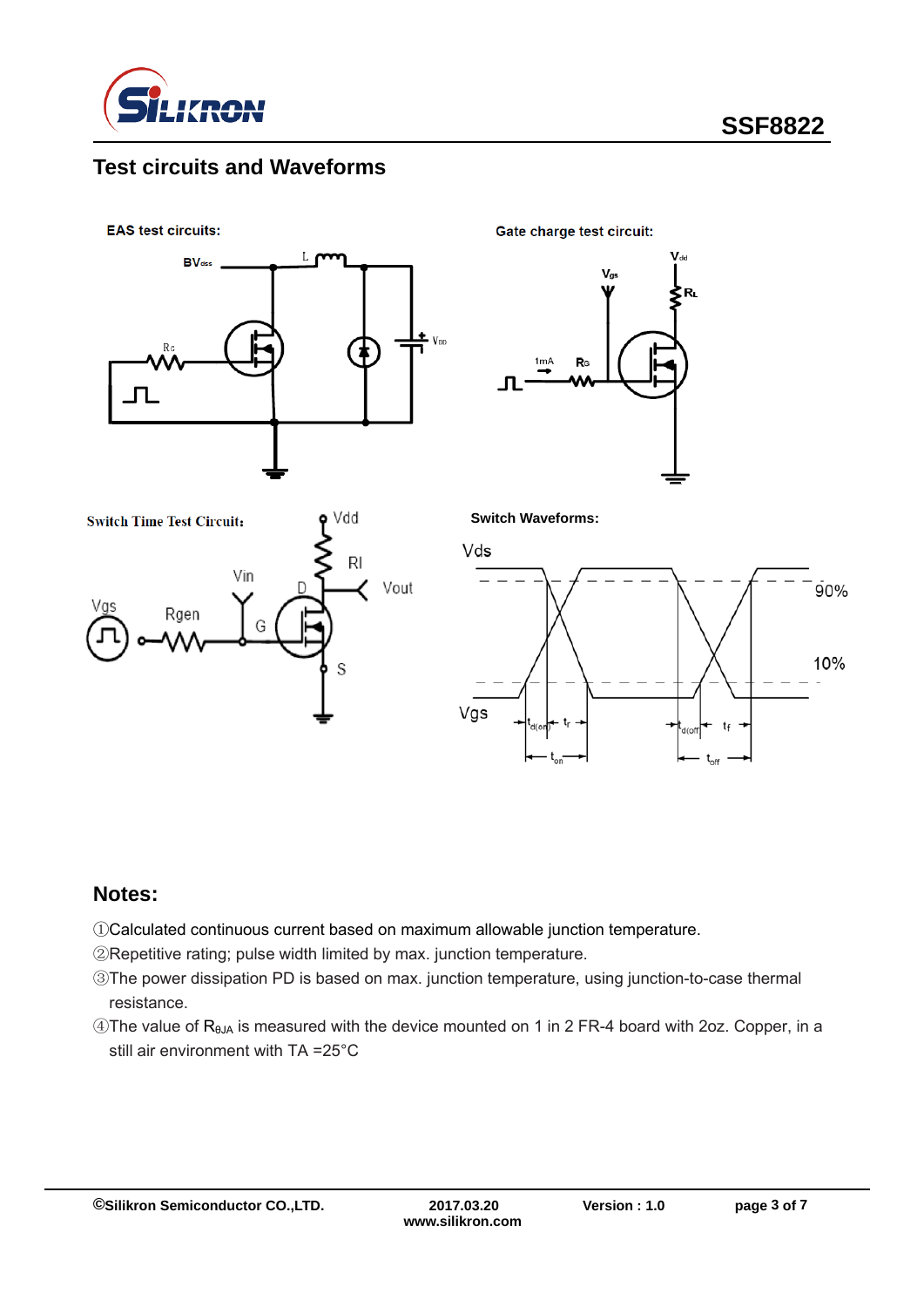

### **Test circuits and Waveforms**

**EAS test circuits:** 



Gate charge test circuit:





**Switch Waveforms:**



#### **Notes:**

- ①Calculated continuous current based on maximum allowable junction temperature.
- ②Repetitive rating; pulse width limited by max. junction temperature.
- ③The power dissipation PD is based on max. junction temperature, using junction-to-case thermal resistance.
- ④The value of RθJA is measured with the device mounted on 1 in 2 FR-4 board with 2oz. Copper, in a still air environment with TA =25°C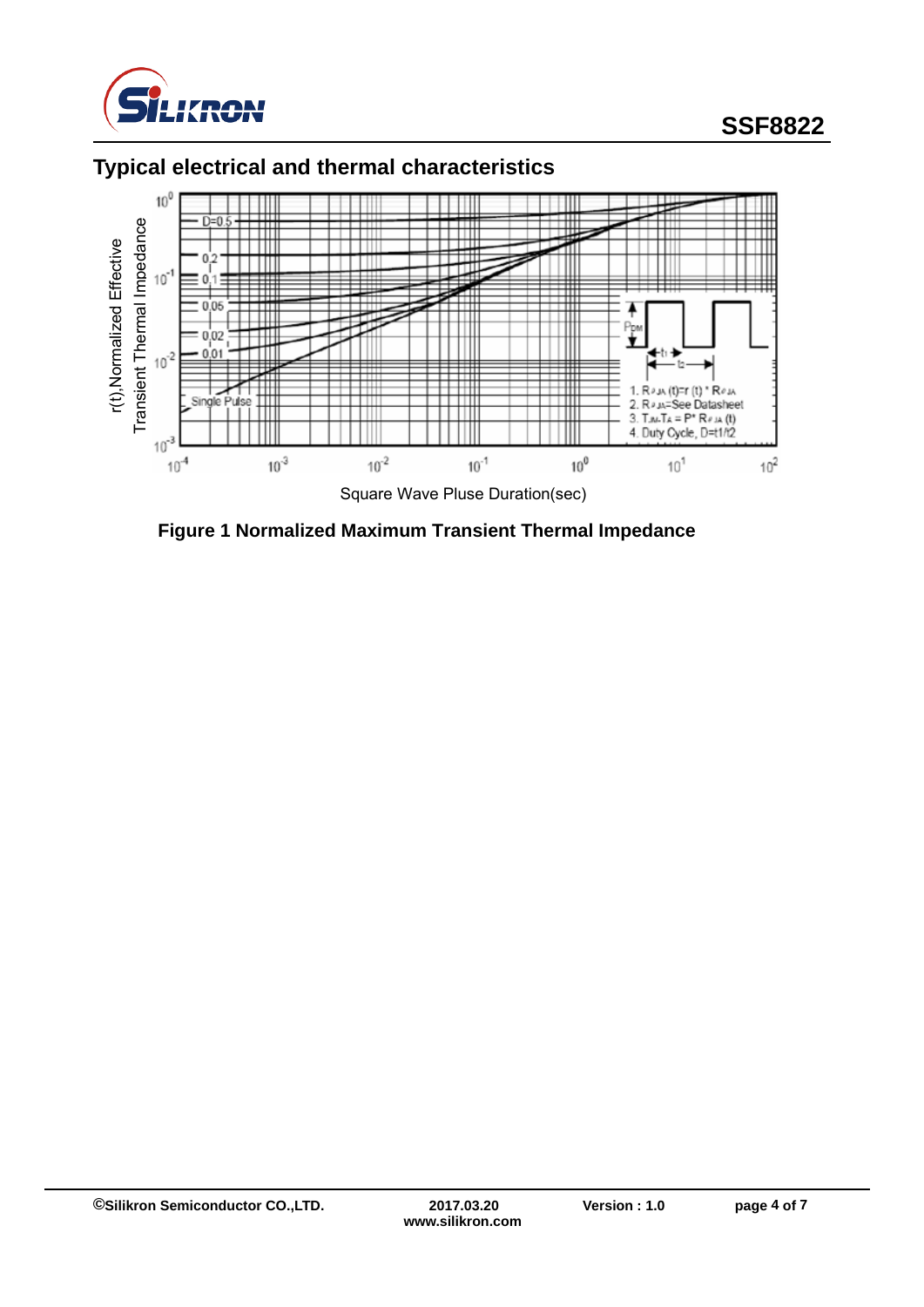

# **SSF8822**

# **Typical electrical and thermal characteristics**



**Figure 1 Normalized Maximum Transient Thermal Impedance**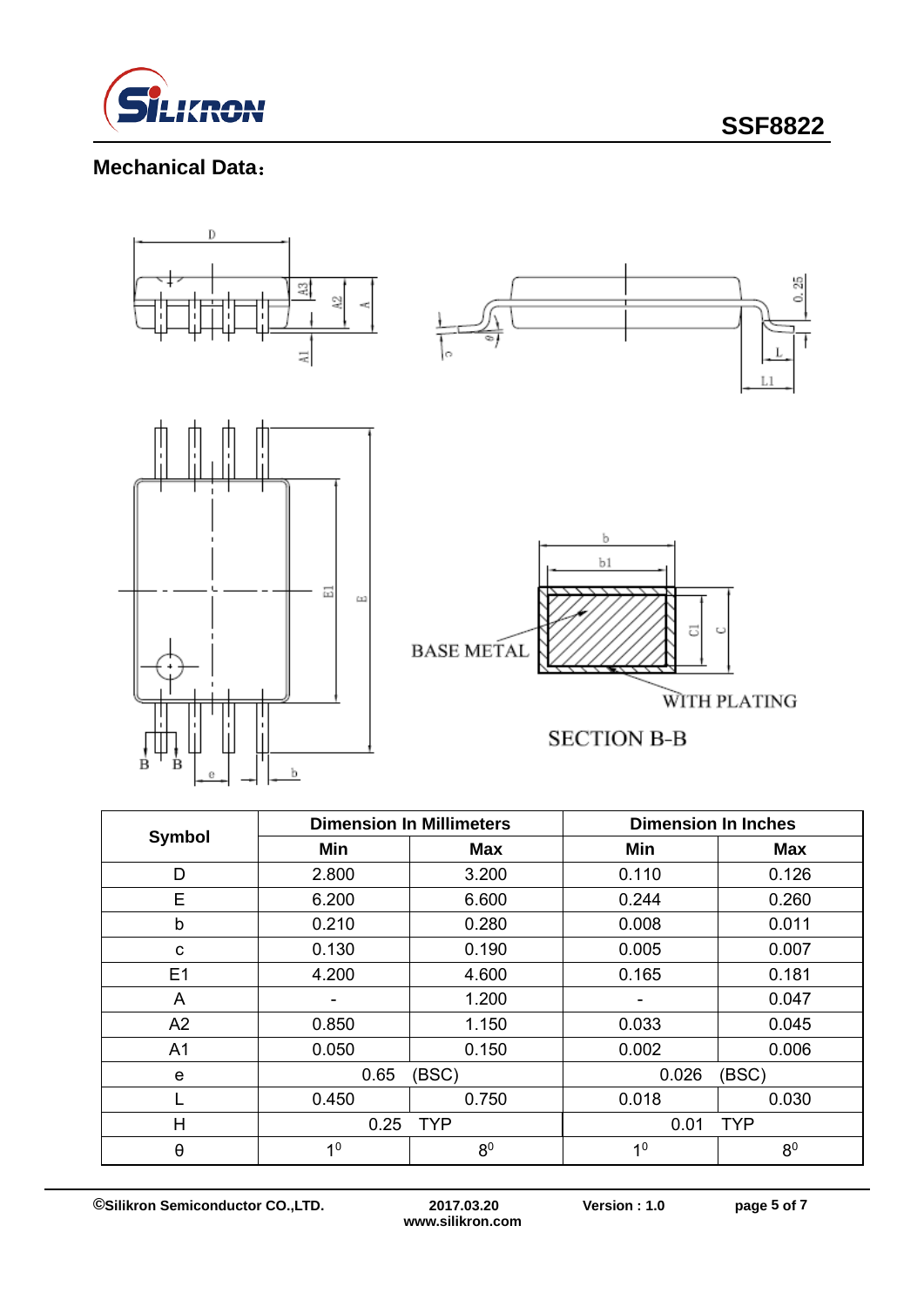

**SSF8822**

### **Mechanical Data**:



| <b>Symbol</b>  |                | <b>Dimension In Millimeters</b> | <b>Dimension In Inches</b> |                |  |
|----------------|----------------|---------------------------------|----------------------------|----------------|--|
|                | Min            | <b>Max</b>                      | Min                        | <b>Max</b>     |  |
| D              | 2.800          | 3.200                           | 0.110                      | 0.126          |  |
| E              | 6.200          | 6.600                           | 0.244                      | 0.260          |  |
| b              | 0.210          | 0.280                           | 0.008                      | 0.011          |  |
| C              | 0.130          | 0.190                           | 0.005                      | 0.007          |  |
| E1             | 4.200          | 4.600                           | 0.165                      | 0.181          |  |
| A              |                | 1.200                           |                            | 0.047          |  |
| A2             | 0.850          | 1.150                           | 0.033                      | 0.045          |  |
| A <sub>1</sub> | 0.050          | 0.150                           | 0.002                      | 0.006          |  |
| e              | 0.65           | (BSC)                           |                            | (BSC)          |  |
|                | 0.450          | 0.750                           | 0.018                      | 0.030          |  |
| H              | 0.25           | <b>TYP</b>                      |                            | <b>TYP</b>     |  |
| θ              | 1 <sup>0</sup> | 8 <sup>0</sup>                  | 1 <sup>0</sup>             | 8 <sup>0</sup> |  |

**www.silikron.com**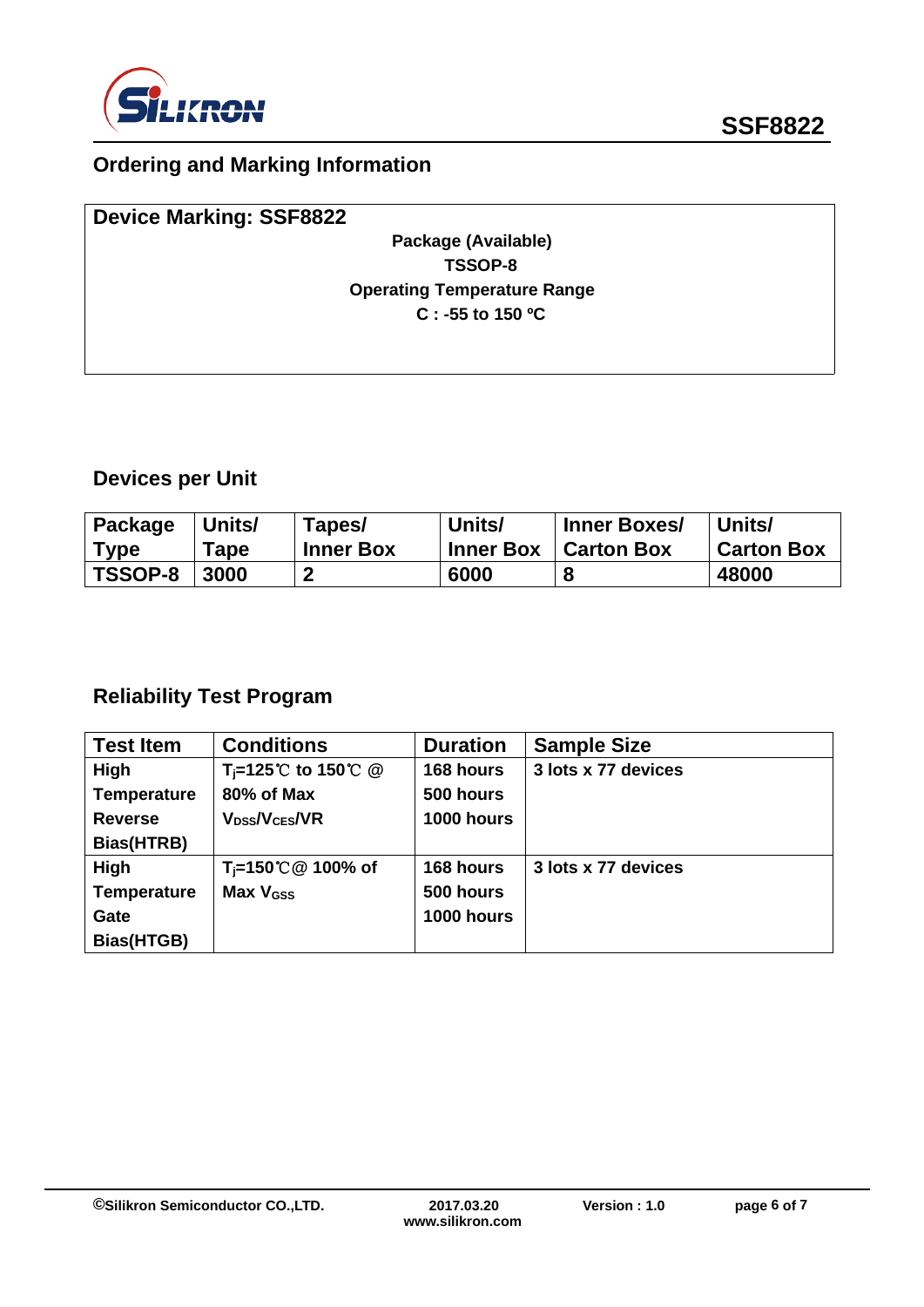

# **Ordering and Marking Information**

| <b>Device Marking: SSF8822</b>     |  |
|------------------------------------|--|
| Package (Available)                |  |
| TSSOP-8                            |  |
| <b>Operating Temperature Range</b> |  |
| $C: -55$ to 150 °C                 |  |
|                                    |  |
|                                    |  |

# **Devices per Unit**

| Package     | Units/ | Tapes/           | Units/           | <b>Inner Boxes/</b> | Units/            |
|-------------|--------|------------------|------------------|---------------------|-------------------|
| <b>Type</b> | Tape   | <b>Inner Box</b> | <b>Inner Box</b> | <b>Carton Box</b>   | <b>Carton Box</b> |
| TSSOP-8     | 3000   |                  | 6000             |                     | 48000             |

# **Reliability Test Program**

| <b>Test Item</b>   | <b>Conditions</b>                                          | <b>Duration</b> | <b>Sample Size</b>  |
|--------------------|------------------------------------------------------------|-----------------|---------------------|
| High               | T <sub>i</sub> =125 <sup>°</sup> C to 150 <sup>°</sup> C @ | 168 hours       | 3 lots x 77 devices |
| <b>Temperature</b> | 80% of Max                                                 | 500 hours       |                     |
| <b>Reverse</b>     | V <sub>DSS</sub> /V <sub>CES</sub> /VR                     | 1000 hours      |                     |
| Bias(HTRB)         |                                                            |                 |                     |
| High               | $T_i$ =150℃ @ 100% of                                      | 168 hours       | 3 lots x 77 devices |
| <b>Temperature</b> | Max V <sub>GSS</sub>                                       | 500 hours       |                     |
| Gate               |                                                            | 1000 hours      |                     |
| Bias(HTGB)         |                                                            |                 |                     |